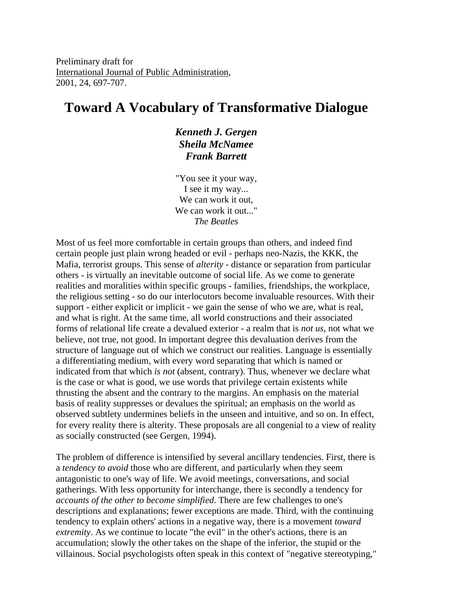Preliminary draft for International Journal of Public Administration, 2001, 24, 697-707.

# **Toward A Vocabulary of Transformative Dialogue**

*Kenneth J. Gergen Sheila McNamee Frank Barrett*

"You see it your way, I see it my way... We can work it out, We can work it out..." *The Beatles*

Most of us feel more comfortable in certain groups than others, and indeed find certain people just plain wrong headed or evil - perhaps neo-Nazis, the KKK, the Mafia, terrorist groups. This sense of *alterity* - distance or separation from particular others - is virtually an inevitable outcome of social life. As we come to generate realities and moralities within specific groups - families, friendships, the workplace, the religious setting - so do our interlocutors become invaluable resources. With their support - either explicit or implicit - we gain the sense of who we are, what is real, and what is right. At the same time, all world constructions and their associated forms of relational life create a devalued exterior - a realm that is *not us*, not what we believe, not true, not good. In important degree this devaluation derives from the structure of language out of which we construct our realities. Language is essentially a differentiating medium, with every word separating that which is named or indicated from that which *is not* (absent, contrary). Thus, whenever we declare what is the case or what is good, we use words that privilege certain existents while thrusting the absent and the contrary to the margins. An emphasis on the material basis of reality suppresses or devalues the spiritual; an emphasis on the world as observed subtlety undermines beliefs in the unseen and intuitive, and so on. In effect, for every reality there is alterity. These proposals are all congenial to a view of reality as socially constructed (see Gergen, 1994).

The problem of difference is intensified by several ancillary tendencies. First, there is a *tendency to avoid* those who are different, and particularly when they seem antagonistic to one's way of life. We avoid meetings, conversations, and social gatherings. With less opportunity for interchange, there is secondly a tendency for *accounts of the other to become simplified*. There are few challenges to one's descriptions and explanations; fewer exceptions are made. Third, with the continuing tendency to explain others' actions in a negative way, there is a movement *toward extremity*. As we continue to locate "the evil" in the other's actions, there is an accumulation; slowly the other takes on the shape of the inferior, the stupid or the villainous. Social psychologists often speak in this context of "negative stereotyping,"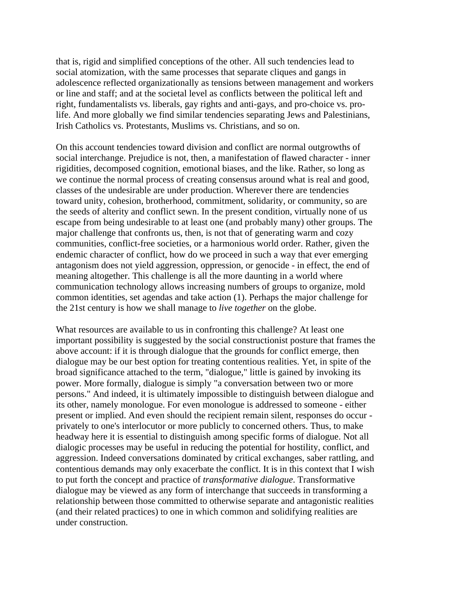that is, rigid and simplified conceptions of the other. All such tendencies lead to social atomization, with the same processes that separate cliques and gangs in adolescence reflected organizationally as tensions between management and workers or line and staff; and at the societal level as conflicts between the political left and right, fundamentalists vs. liberals, gay rights and anti-gays, and pro-choice vs. prolife. And more globally we find similar tendencies separating Jews and Palestinians, Irish Catholics vs. Protestants, Muslims vs. Christians, and so on.

On this account tendencies toward division and conflict are normal outgrowths of social interchange. Prejudice is not, then, a manifestation of flawed character - inner rigidities, decomposed cognition, emotional biases, and the like. Rather, so long as we continue the normal process of creating consensus around what is real and good, classes of the undesirable are under production. Wherever there are tendencies toward unity, cohesion, brotherhood, commitment, solidarity, or community, so are the seeds of alterity and conflict sewn. In the present condition, virtually none of us escape from being undesirable to at least one (and probably many) other groups. The major challenge that confronts us, then, is not that of generating warm and cozy communities, conflict-free societies, or a harmonious world order. Rather, given the endemic character of conflict, how do we proceed in such a way that ever emerging antagonism does not yield aggression, oppression, or genocide - in effect, the end of meaning altogether. This challenge is all the more daunting in a world where communication technology allows increasing numbers of groups to organize, mold common identities, set agendas and take action (1). Perhaps the major challenge for the 21st century is how we shall manage to *live together* on the globe.

What resources are available to us in confronting this challenge? At least one important possibility is suggested by the social constructionist posture that frames the above account: if it is through dialogue that the grounds for conflict emerge, then dialogue may be our best option for treating contentious realities. Yet, in spite of the broad significance attached to the term, "dialogue," little is gained by invoking its power. More formally, dialogue is simply "a conversation between two or more persons." And indeed, it is ultimately impossible to distinguish between dialogue and its other, namely monologue. For even monologue is addressed to someone - either present or implied. And even should the recipient remain silent, responses do occur privately to one's interlocutor or more publicly to concerned others. Thus, to make headway here it is essential to distinguish among specific forms of dialogue. Not all dialogic processes may be useful in reducing the potential for hostility, conflict, and aggression. Indeed conversations dominated by critical exchanges, saber rattling, and contentious demands may only exacerbate the conflict. It is in this context that I wish to put forth the concept and practice of *transformative dialogue*. Transformative dialogue may be viewed as any form of interchange that succeeds in transforming a relationship between those committed to otherwise separate and antagonistic realities (and their related practices) to one in which common and solidifying realities are under construction.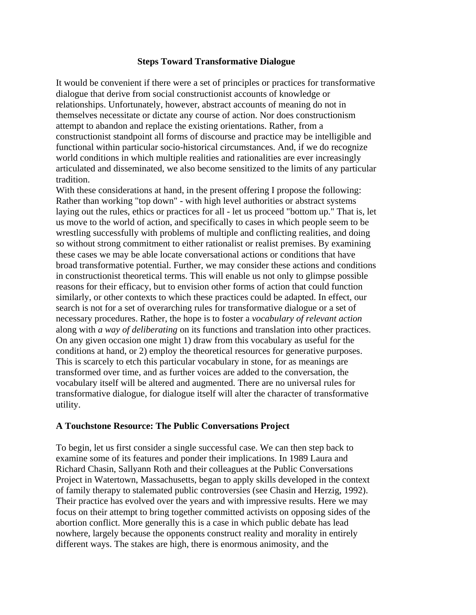### **Steps Toward Transformative Dialogue**

It would be convenient if there were a set of principles or practices for transformative dialogue that derive from social constructionist accounts of knowledge or relationships. Unfortunately, however, abstract accounts of meaning do not in themselves necessitate or dictate any course of action. Nor does constructionism attempt to abandon and replace the existing orientations. Rather, from a constructionist standpoint all forms of discourse and practice may be intelligible and functional within particular socio-historical circumstances. And, if we do recognize world conditions in which multiple realities and rationalities are ever increasingly articulated and disseminated, we also become sensitized to the limits of any particular tradition.

With these considerations at hand, in the present offering I propose the following: Rather than working "top down" - with high level authorities or abstract systems laying out the rules, ethics or practices for all - let us proceed "bottom up." That is, let us move to the world of action, and specifically to cases in which people seem to be wrestling successfully with problems of multiple and conflicting realities, and doing so without strong commitment to either rationalist or realist premises. By examining these cases we may be able locate conversational actions or conditions that have broad transformative potential. Further, we may consider these actions and conditions in constructionist theoretical terms. This will enable us not only to glimpse possible reasons for their efficacy, but to envision other forms of action that could function similarly, or other contexts to which these practices could be adapted. In effect, our search is not for a set of overarching rules for transformative dialogue or a set of necessary procedures. Rather, the hope is to foster a *vocabulary of relevant action* along with *a way of deliberating* on its functions and translation into other practices. On any given occasion one might 1) draw from this vocabulary as useful for the conditions at hand, or 2) employ the theoretical resources for generative purposes. This is scarcely to etch this particular vocabulary in stone, for as meanings are transformed over time, and as further voices are added to the conversation, the vocabulary itself will be altered and augmented. There are no universal rules for transformative dialogue, for dialogue itself will alter the character of transformative utility.

## **A Touchstone Resource: The Public Conversations Project**

To begin, let us first consider a single successful case. We can then step back to examine some of its features and ponder their implications. In 1989 Laura and Richard Chasin, Sallyann Roth and their colleagues at the Public Conversations Project in Watertown, Massachusetts, began to apply skills developed in the context of family therapy to stalemated public controversies (see Chasin and Herzig, 1992). Their practice has evolved over the years and with impressive results. Here we may focus on their attempt to bring together committed activists on opposing sides of the abortion conflict. More generally this is a case in which public debate has lead nowhere, largely because the opponents construct reality and morality in entirely different ways. The stakes are high, there is enormous animosity, and the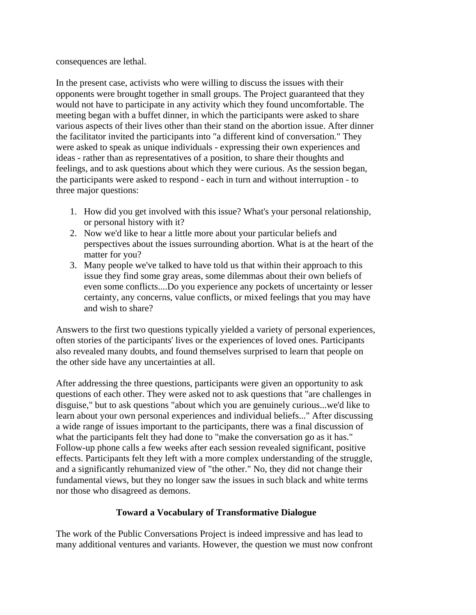consequences are lethal.

In the present case, activists who were willing to discuss the issues with their opponents were brought together in small groups. The Project guaranteed that they would not have to participate in any activity which they found uncomfortable. The meeting began with a buffet dinner, in which the participants were asked to share various aspects of their lives other than their stand on the abortion issue. After dinner the facilitator invited the participants into "a different kind of conversation." They were asked to speak as unique individuals - expressing their own experiences and ideas - rather than as representatives of a position, to share their thoughts and feelings, and to ask questions about which they were curious. As the session began, the participants were asked to respond - each in turn and without interruption - to three major questions:

- 1. How did you get involved with this issue? What's your personal relationship, or personal history with it?
- 2. Now we'd like to hear a little more about your particular beliefs and perspectives about the issues surrounding abortion. What is at the heart of the matter for you?
- 3. Many people we've talked to have told us that within their approach to this issue they find some gray areas, some dilemmas about their own beliefs of even some conflicts....Do you experience any pockets of uncertainty or lesser certainty, any concerns, value conflicts, or mixed feelings that you may have and wish to share?

Answers to the first two questions typically yielded a variety of personal experiences, often stories of the participants' lives or the experiences of loved ones. Participants also revealed many doubts, and found themselves surprised to learn that people on the other side have any uncertainties at all.

After addressing the three questions, participants were given an opportunity to ask questions of each other. They were asked not to ask questions that "are challenges in disguise," but to ask questions "about which you are genuinely curious...we'd like to learn about your own personal experiences and individual beliefs..." After discussing a wide range of issues important to the participants, there was a final discussion of what the participants felt they had done to "make the conversation go as it has." Follow-up phone calls a few weeks after each session revealed significant, positive effects. Participants felt they left with a more complex understanding of the struggle, and a significantly rehumanized view of "the other." No, they did not change their fundamental views, but they no longer saw the issues in such black and white terms nor those who disagreed as demons.

# **Toward a Vocabulary of Transformative Dialogue**

The work of the Public Conversations Project is indeed impressive and has lead to many additional ventures and variants. However, the question we must now confront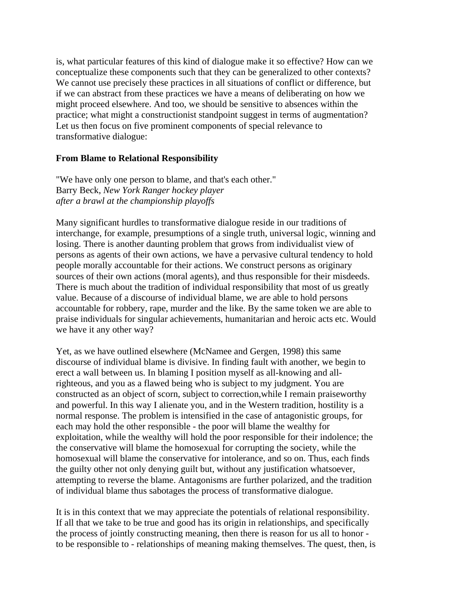is, what particular features of this kind of dialogue make it so effective? How can we conceptualize these components such that they can be generalized to other contexts? We cannot use precisely these practices in all situations of conflict or difference, but if we can abstract from these practices we have a means of deliberating on how we might proceed elsewhere. And too, we should be sensitive to absences within the practice; what might a constructionist standpoint suggest in terms of augmentation? Let us then focus on five prominent components of special relevance to transformative dialogue:

## **From Blame to Relational Responsibility**

"We have only one person to blame, and that's each other." Barry Beck, *New York Ranger hockey player after a brawl at the championship playoffs*

Many significant hurdles to transformative dialogue reside in our traditions of interchange, for example, presumptions of a single truth, universal logic, winning and losing. There is another daunting problem that grows from individualist view of persons as agents of their own actions, we have a pervasive cultural tendency to hold people morally accountable for their actions. We construct persons as originary sources of their own actions (moral agents), and thus responsible for their misdeeds. There is much about the tradition of individual responsibility that most of us greatly value. Because of a discourse of individual blame, we are able to hold persons accountable for robbery, rape, murder and the like. By the same token we are able to praise individuals for singular achievements, humanitarian and heroic acts etc. Would we have it any other way?

Yet, as we have outlined elsewhere (McNamee and Gergen, 1998) this same discourse of individual blame is divisive. In finding fault with another, we begin to erect a wall between us. In blaming I position myself as all-knowing and allrighteous, and you as a flawed being who is subject to my judgment. You are constructed as an object of scorn, subject to correction,while I remain praiseworthy and powerful. In this way I alienate you, and in the Western tradition, hostility is a normal response. The problem is intensified in the case of antagonistic groups, for each may hold the other responsible - the poor will blame the wealthy for exploitation, while the wealthy will hold the poor responsible for their indolence; the the conservative will blame the homosexual for corrupting the society, while the homosexual will blame the conservative for intolerance, and so on. Thus, each finds the guilty other not only denying guilt but, without any justification whatsoever, attempting to reverse the blame. Antagonisms are further polarized, and the tradition of individual blame thus sabotages the process of transformative dialogue.

It is in this context that we may appreciate the potentials of relational responsibility. If all that we take to be true and good has its origin in relationships, and specifically the process of jointly constructing meaning, then there is reason for us all to honor to be responsible to - relationships of meaning making themselves. The quest, then, is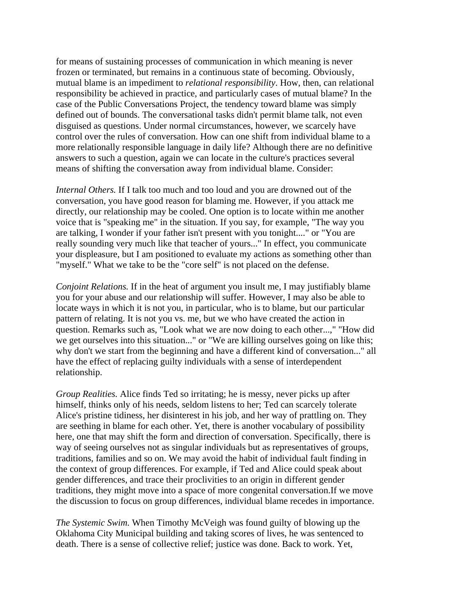for means of sustaining processes of communication in which meaning is never frozen or terminated, but remains in a continuous state of becoming. Obviously, mutual blame is an impediment to *relational responsibility*. How, then, can relational responsibility be achieved in practice, and particularly cases of mutual blame? In the case of the Public Conversations Project, the tendency toward blame was simply defined out of bounds. The conversational tasks didn't permit blame talk, not even disguised as questions. Under normal circumstances, however, we scarcely have control over the rules of conversation. How can one shift from individual blame to a more relationally responsible language in daily life? Although there are no definitive answers to such a question, again we can locate in the culture's practices several means of shifting the conversation away from individual blame. Consider:

*Internal Others.* If I talk too much and too loud and you are drowned out of the conversation, you have good reason for blaming me. However, if you attack me directly, our relationship may be cooled. One option is to locate within me another voice that is "speaking me" in the situation. If you say, for example, "The way you are talking, I wonder if your father isn't present with you tonight...." or "You are really sounding very much like that teacher of yours..." In effect, you communicate your displeasure, but I am positioned to evaluate my actions as something other than "myself." What we take to be the "core self" is not placed on the defense.

*Conjoint Relations.* If in the heat of argument you insult me, I may justifiably blame you for your abuse and our relationship will suffer. However, I may also be able to locate ways in which it is not you, in particular, who is to blame, but our particular pattern of relating. It is not you vs. me, but we who have created the action in question. Remarks such as, "Look what we are now doing to each other...," "How did we get ourselves into this situation..." or "We are killing ourselves going on like this; why don't we start from the beginning and have a different kind of conversation..." all have the effect of replacing guilty individuals with a sense of interdependent relationship.

*Group Realities.* Alice finds Ted so irritating; he is messy, never picks up after himself, thinks only of his needs, seldom listens to her; Ted can scarcely tolerate Alice's pristine tidiness, her disinterest in his job, and her way of prattling on. They are seething in blame for each other. Yet, there is another vocabulary of possibility here, one that may shift the form and direction of conversation. Specifically, there is way of seeing ourselves not as singular individuals but as representatives of groups, traditions, families and so on. We may avoid the habit of individual fault finding in the context of group differences. For example, if Ted and Alice could speak about gender differences, and trace their proclivities to an origin in different gender traditions, they might move into a space of more congenital conversation.If we move the discussion to focus on group differences, individual blame recedes in importance.

*The Systemic Swim.* When Timothy McVeigh was found guilty of blowing up the Oklahoma City Municipal building and taking scores of lives, he was sentenced to death. There is a sense of collective relief; justice was done. Back to work. Yet,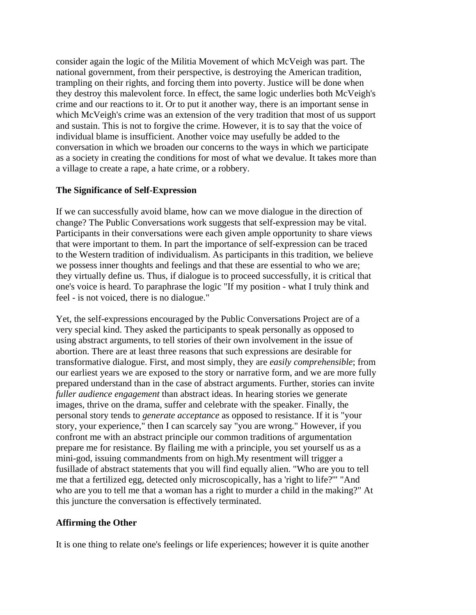consider again the logic of the Militia Movement of which McVeigh was part. The national government, from their perspective, is destroying the American tradition, trampling on their rights, and forcing them into poverty. Justice will be done when they destroy this malevolent force. In effect, the same logic underlies both McVeigh's crime and our reactions to it. Or to put it another way, there is an important sense in which McVeigh's crime was an extension of the very tradition that most of us support and sustain. This is not to forgive the crime. However, it is to say that the voice of individual blame is insufficient. Another voice may usefully be added to the conversation in which we broaden our concerns to the ways in which we participate as a society in creating the conditions for most of what we devalue. It takes more than a village to create a rape, a hate crime, or a robbery.

## **The Significance of Self-Expression**

If we can successfully avoid blame, how can we move dialogue in the direction of change? The Public Conversations work suggests that self-expression may be vital. Participants in their conversations were each given ample opportunity to share views that were important to them. In part the importance of self-expression can be traced to the Western tradition of individualism. As participants in this tradition, we believe we possess inner thoughts and feelings and that these are essential to who we are; they virtually define us. Thus, if dialogue is to proceed successfully, it is critical that one's voice is heard. To paraphrase the logic "If my position - what I truly think and feel - is not voiced, there is no dialogue."

Yet, the self-expressions encouraged by the Public Conversations Project are of a very special kind. They asked the participants to speak personally as opposed to using abstract arguments, to tell stories of their own involvement in the issue of abortion. There are at least three reasons that such expressions are desirable for transformative dialogue. First, and most simply, they are *easily comprehensible*; from our earliest years we are exposed to the story or narrative form, and we are more fully prepared understand than in the case of abstract arguments. Further, stories can invite *fuller audience engagement* than abstract ideas. In hearing stories we generate images, thrive on the drama, suffer and celebrate with the speaker. Finally, the personal story tends to *generate acceptance* as opposed to resistance. If it is "your story, your experience," then I can scarcely say "you are wrong." However, if you confront me with an abstract principle our common traditions of argumentation prepare me for resistance. By flailing me with a principle, you set yourself us as a mini-god, issuing commandments from on high.My resentment will trigger a fusillade of abstract statements that you will find equally alien. "Who are you to tell me that a fertilized egg, detected only microscopically, has a 'right to life?'" "And who are you to tell me that a woman has a right to murder a child in the making?" At this juncture the conversation is effectively terminated.

# **Affirming the Other**

It is one thing to relate one's feelings or life experiences; however it is quite another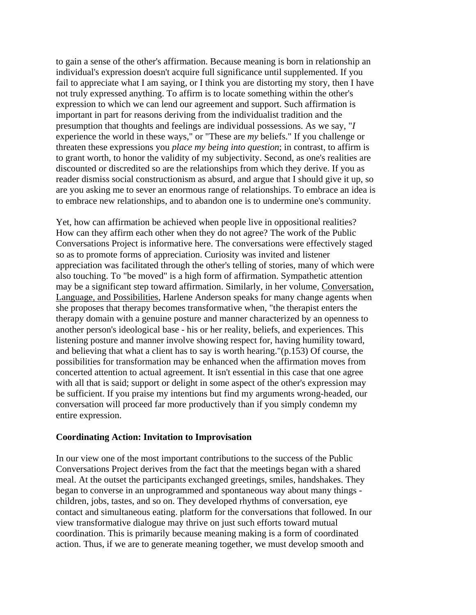to gain a sense of the other's affirmation. Because meaning is born in relationship an individual's expression doesn't acquire full significance until supplemented. If you fail to appreciate what I am saying, or I think you are distorting my story, then I have not truly expressed anything. To affirm is to locate something within the other's expression to which we can lend our agreement and support. Such affirmation is important in part for reasons deriving from the individualist tradition and the presumption that thoughts and feelings are individual possessions. As we say, "*I*  experience the world in these ways," or "These are *my* beliefs." If you challenge or threaten these expressions you *place my being into question*; in contrast, to affirm is to grant worth, to honor the validity of my subjectivity. Second, as one's realities are discounted or discredited so are the relationships from which they derive. If you as reader dismiss social constructionism as absurd, and argue that I should give it up, so are you asking me to sever an enormous range of relationships. To embrace an idea is to embrace new relationships, and to abandon one is to undermine one's community.

Yet, how can affirmation be achieved when people live in oppositional realities? How can they affirm each other when they do not agree? The work of the Public Conversations Project is informative here. The conversations were effectively staged so as to promote forms of appreciation. Curiosity was invited and listener appreciation was facilitated through the other's telling of stories, many of which were also touching. To "be moved" is a high form of affirmation. Sympathetic attention may be a significant step toward affirmation. Similarly, in her volume, Conversation, Language, and Possibilities, Harlene Anderson speaks for many change agents when she proposes that therapy becomes transformative when, "the therapist enters the therapy domain with a genuine posture and manner characterized by an openness to another person's ideological base - his or her reality, beliefs, and experiences. This listening posture and manner involve showing respect for, having humility toward, and believing that what a client has to say is worth hearing."(p.153) Of course, the possibilities for transformation may be enhanced when the affirmation moves from concerted attention to actual agreement. It isn't essential in this case that one agree with all that is said; support or delight in some aspect of the other's expression may be sufficient. If you praise my intentions but find my arguments wrong-headed, our conversation will proceed far more productively than if you simply condemn my entire expression.

#### **Coordinating Action: Invitation to Improvisation**

In our view one of the most important contributions to the success of the Public Conversations Project derives from the fact that the meetings began with a shared meal. At the outset the participants exchanged greetings, smiles, handshakes. They began to converse in an unprogrammed and spontaneous way about many things children, jobs, tastes, and so on. They developed rhythms of conversation, eye contact and simultaneous eating. platform for the conversations that followed. In our view transformative dialogue may thrive on just such efforts toward mutual coordination. This is primarily because meaning making is a form of coordinated action. Thus, if we are to generate meaning together, we must develop smooth and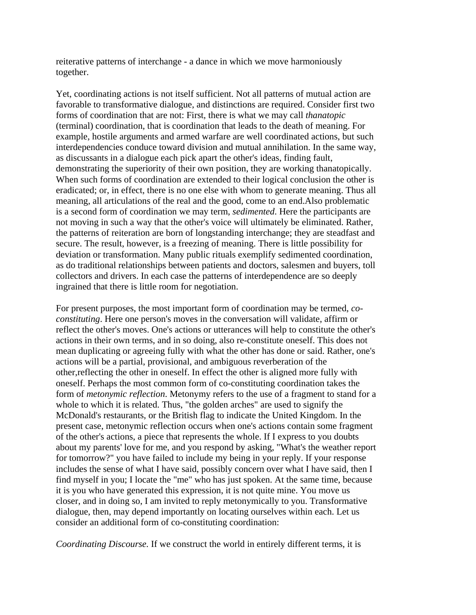reiterative patterns of interchange - a dance in which we move harmoniously together.

Yet, coordinating actions is not itself sufficient. Not all patterns of mutual action are favorable to transformative dialogue, and distinctions are required. Consider first two forms of coordination that are not: First, there is what we may call *thanatopic* (terminal) coordination, that is coordination that leads to the death of meaning. For example, hostile arguments and armed warfare are well coordinated actions, but such interdependencies conduce toward division and mutual annihilation. In the same way, as discussants in a dialogue each pick apart the other's ideas, finding fault, demonstrating the superiority of their own position, they are working thanatopically. When such forms of coordination are extended to their logical conclusion the other is eradicated; or, in effect, there is no one else with whom to generate meaning. Thus all meaning, all articulations of the real and the good, come to an end.Also problematic is a second form of coordination we may term, *sedimented*. Here the participants are not moving in such a way that the other's voice will ultimately be eliminated. Rather, the patterns of reiteration are born of longstanding interchange; they are steadfast and secure. The result, however, is a freezing of meaning. There is little possibility for deviation or transformation. Many public rituals exemplify sedimented coordination, as do traditional relationships between patients and doctors, salesmen and buyers, toll collectors and drivers. In each case the patterns of interdependence are so deeply ingrained that there is little room for negotiation.

For present purposes, the most important form of coordination may be termed, *coconstituting*. Here one person's moves in the conversation will validate, affirm or reflect the other's moves. One's actions or utterances will help to constitute the other's actions in their own terms, and in so doing, also re-constitute oneself. This does not mean duplicating or agreeing fully with what the other has done or said. Rather, one's actions will be a partial, provisional, and ambiguous reverberation of the other,reflecting the other in oneself. In effect the other is aligned more fully with oneself. Perhaps the most common form of co-constituting coordination takes the form of *metonymic reflection*. Metonymy refers to the use of a fragment to stand for a whole to which it is related. Thus, "the golden arches" are used to signify the McDonald's restaurants, or the British flag to indicate the United Kingdom. In the present case, metonymic reflection occurs when one's actions contain some fragment of the other's actions, a piece that represents the whole. If I express to you doubts about my parents' love for me, and you respond by asking, "What's the weather report for tomorrow?" you have failed to include my being in your reply. If your response includes the sense of what I have said, possibly concern over what I have said, then I find myself in you; I locate the "me" who has just spoken. At the same time, because it is you who have generated this expression, it is not quite mine. You move us closer, and in doing so, I am invited to reply metonymically to you. Transformative dialogue, then, may depend importantly on locating ourselves within each. Let us consider an additional form of co-constituting coordination:

*Coordinating Discourse.* If we construct the world in entirely different terms, it is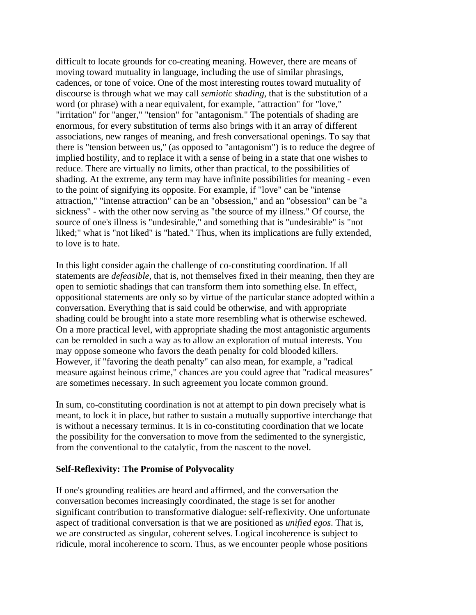difficult to locate grounds for co-creating meaning. However, there are means of moving toward mutuality in language, including the use of similar phrasings, cadences, or tone of voice. One of the most interesting routes toward mutuality of discourse is through what we may call *semiotic shading*, that is the substitution of a word (or phrase) with a near equivalent, for example, "attraction" for "love," "irritation" for "anger," "tension" for "antagonism." The potentials of shading are enormous, for every substitution of terms also brings with it an array of different associations, new ranges of meaning, and fresh conversational openings. To say that there is "tension between us," (as opposed to "antagonism") is to reduce the degree of implied hostility, and to replace it with a sense of being in a state that one wishes to reduce. There are virtually no limits, other than practical, to the possibilities of shading. At the extreme, any term may have infinite possibilities for meaning - even to the point of signifying its opposite. For example, if "love" can be "intense attraction," "intense attraction" can be an "obsession," and an "obsession" can be "a sickness" - with the other now serving as "the source of my illness." Of course, the source of one's illness is "undesirable," and something that is "undesirable" is "not liked;" what is "not liked" is "hated." Thus, when its implications are fully extended, to love is to hate.

In this light consider again the challenge of co-constituting coordination. If all statements are *defeasible*, that is, not themselves fixed in their meaning, then they are open to semiotic shadings that can transform them into something else. In effect, oppositional statements are only so by virtue of the particular stance adopted within a conversation. Everything that is said could be otherwise, and with appropriate shading could be brought into a state more resembling what is otherwise eschewed. On a more practical level, with appropriate shading the most antagonistic arguments can be remolded in such a way as to allow an exploration of mutual interests. You may oppose someone who favors the death penalty for cold blooded killers. However, if "favoring the death penalty" can also mean, for example, a "radical measure against heinous crime," chances are you could agree that "radical measures" are sometimes necessary. In such agreement you locate common ground.

In sum, co-constituting coordination is not at attempt to pin down precisely what is meant, to lock it in place, but rather to sustain a mutually supportive interchange that is without a necessary terminus. It is in co-constituting coordination that we locate the possibility for the conversation to move from the sedimented to the synergistic, from the conventional to the catalytic, from the nascent to the novel.

## **Self-Reflexivity: The Promise of Polyvocality**

If one's grounding realities are heard and affirmed, and the conversation the conversation becomes increasingly coordinated, the stage is set for another significant contribution to transformative dialogue: self-reflexivity. One unfortunate aspect of traditional conversation is that we are positioned as *unified egos*. That is, we are constructed as singular, coherent selves. Logical incoherence is subject to ridicule, moral incoherence to scorn. Thus, as we encounter people whose positions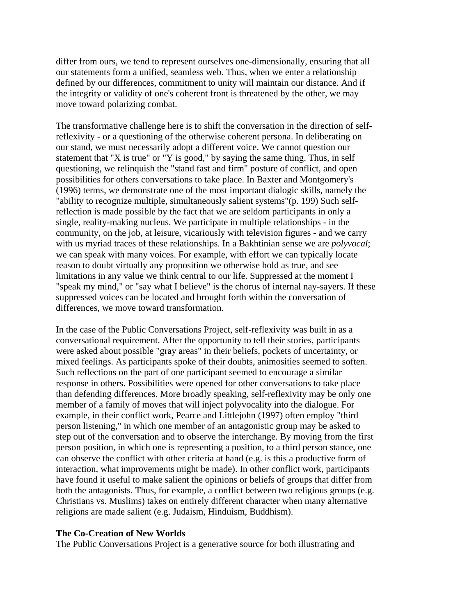differ from ours, we tend to represent ourselves one-dimensionally, ensuring that all our statements form a unified, seamless web. Thus, when we enter a relationship defined by our differences, commitment to unity will maintain our distance. And if the integrity or validity of one's coherent front is threatened by the other, we may move toward polarizing combat.

The transformative challenge here is to shift the conversation in the direction of selfreflexivity - or a questioning of the otherwise coherent persona. In deliberating on our stand, we must necessarily adopt a different voice. We cannot question our statement that "X is true" or "Y is good," by saying the same thing. Thus, in self questioning, we relinquish the "stand fast and firm" posture of conflict, and open possibilities for others conversations to take place. In Baxter and Montgomery's (1996) terms, we demonstrate one of the most important dialogic skills, namely the "ability to recognize multiple, simultaneously salient systems"(p. 199) Such selfreflection is made possible by the fact that we are seldom participants in only a single, reality-making nucleus. We participate in multiple relationships - in the community, on the job, at leisure, vicariously with television figures - and we carry with us myriad traces of these relationships. In a Bakhtinian sense we are *polyvocal*; we can speak with many voices. For example, with effort we can typically locate reason to doubt virtually any proposition we otherwise hold as true, and see limitations in any value we think central to our life. Suppressed at the moment I "speak my mind," or "say what I believe" is the chorus of internal nay-sayers. If these suppressed voices can be located and brought forth within the conversation of differences, we move toward transformation.

In the case of the Public Conversations Project, self-reflexivity was built in as a conversational requirement. After the opportunity to tell their stories, participants were asked about possible "gray areas" in their beliefs, pockets of uncertainty, or mixed feelings. As participants spoke of their doubts, animosities seemed to soften. Such reflections on the part of one participant seemed to encourage a similar response in others. Possibilities were opened for other conversations to take place than defending differences. More broadly speaking, self-reflexivity may be only one member of a family of moves that will inject polyvocality into the dialogue. For example, in their conflict work, Pearce and Littlejohn (1997) often employ "third person listening," in which one member of an antagonistic group may be asked to step out of the conversation and to observe the interchange. By moving from the first person position, in which one is representing a position, to a third person stance, one can observe the conflict with other criteria at hand (e.g. is this a productive form of interaction, what improvements might be made). In other conflict work, participants have found it useful to make salient the opinions or beliefs of groups that differ from both the antagonists. Thus, for example, a conflict between two religious groups (e.g. Christians vs. Muslims) takes on entirely different character when many alternative religions are made salient (e.g. Judaism, Hinduism, Buddhism).

#### **The Co-Creation of New Worlds**

The Public Conversations Project is a generative source for both illustrating and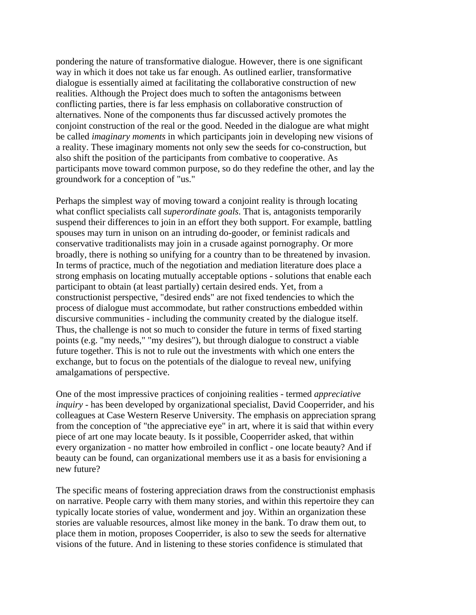pondering the nature of transformative dialogue. However, there is one significant way in which it does not take us far enough. As outlined earlier, transformative dialogue is essentially aimed at facilitating the collaborative construction of new realities. Although the Project does much to soften the antagonisms between conflicting parties, there is far less emphasis on collaborative construction of alternatives. None of the components thus far discussed actively promotes the conjoint construction of the real or the good. Needed in the dialogue are what might be called *imaginary moments* in which participants join in developing new visions of a reality. These imaginary moments not only sew the seeds for co-construction, but also shift the position of the participants from combative to cooperative. As participants move toward common purpose, so do they redefine the other, and lay the groundwork for a conception of "us."

Perhaps the simplest way of moving toward a conjoint reality is through locating what conflict specialists call *superordinate goals*. That is, antagonists temporarily suspend their differences to join in an effort they both support. For example, battling spouses may turn in unison on an intruding do-gooder, or feminist radicals and conservative traditionalists may join in a crusade against pornography. Or more broadly, there is nothing so unifying for a country than to be threatened by invasion. In terms of practice, much of the negotiation and mediation literature does place a strong emphasis on locating mutually acceptable options - solutions that enable each participant to obtain (at least partially) certain desired ends. Yet, from a constructionist perspective, "desired ends" are not fixed tendencies to which the process of dialogue must accommodate, but rather constructions embedded within discursive communities - including the community created by the dialogue itself. Thus, the challenge is not so much to consider the future in terms of fixed starting points (e.g. "my needs," "my desires"), but through dialogue to construct a viable future together. This is not to rule out the investments with which one enters the exchange, but to focus on the potentials of the dialogue to reveal new, unifying amalgamations of perspective.

One of the most impressive practices of conjoining realities - termed *appreciative inquiry* - has been developed by organizational specialist, David Cooperrider, and his colleagues at Case Western Reserve University. The emphasis on appreciation sprang from the conception of "the appreciative eye" in art, where it is said that within every piece of art one may locate beauty. Is it possible, Cooperrider asked, that within every organization - no matter how embroiled in conflict - one locate beauty? And if beauty can be found, can organizational members use it as a basis for envisioning a new future?

The specific means of fostering appreciation draws from the constructionist emphasis on narrative. People carry with them many stories, and within this repertoire they can typically locate stories of value, wonderment and joy. Within an organization these stories are valuable resources, almost like money in the bank. To draw them out, to place them in motion, proposes Cooperrider, is also to sew the seeds for alternative visions of the future. And in listening to these stories confidence is stimulated that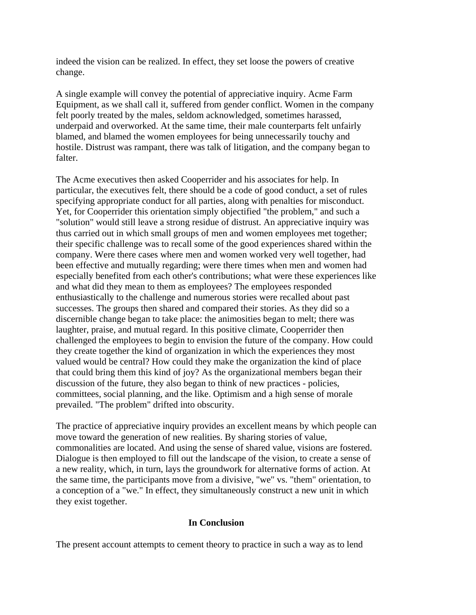indeed the vision can be realized. In effect, they set loose the powers of creative change.

A single example will convey the potential of appreciative inquiry. Acme Farm Equipment, as we shall call it, suffered from gender conflict. Women in the company felt poorly treated by the males, seldom acknowledged, sometimes harassed, underpaid and overworked. At the same time, their male counterparts felt unfairly blamed, and blamed the women employees for being unnecessarily touchy and hostile. Distrust was rampant, there was talk of litigation, and the company began to falter.

The Acme executives then asked Cooperrider and his associates for help. In particular, the executives felt, there should be a code of good conduct, a set of rules specifying appropriate conduct for all parties, along with penalties for misconduct. Yet, for Cooperrider this orientation simply objectified "the problem," and such a "solution" would still leave a strong residue of distrust. An appreciative inquiry was thus carried out in which small groups of men and women employees met together; their specific challenge was to recall some of the good experiences shared within the company. Were there cases where men and women worked very well together, had been effective and mutually regarding; were there times when men and women had especially benefited from each other's contributions; what were these experiences like and what did they mean to them as employees? The employees responded enthusiastically to the challenge and numerous stories were recalled about past successes. The groups then shared and compared their stories. As they did so a discernible change began to take place: the animosities began to melt; there was laughter, praise, and mutual regard. In this positive climate, Cooperrider then challenged the employees to begin to envision the future of the company. How could they create together the kind of organization in which the experiences they most valued would be central? How could they make the organization the kind of place that could bring them this kind of joy? As the organizational members began their discussion of the future, they also began to think of new practices - policies, committees, social planning, and the like. Optimism and a high sense of morale prevailed. "The problem" drifted into obscurity.

The practice of appreciative inquiry provides an excellent means by which people can move toward the generation of new realities. By sharing stories of value, commonalities are located. And using the sense of shared value, visions are fostered. Dialogue is then employed to fill out the landscape of the vision, to create a sense of a new reality, which, in turn, lays the groundwork for alternative forms of action. At the same time, the participants move from a divisive, "we" vs. "them" orientation, to a conception of a "we." In effect, they simultaneously construct a new unit in which they exist together.

## **In Conclusion**

The present account attempts to cement theory to practice in such a way as to lend